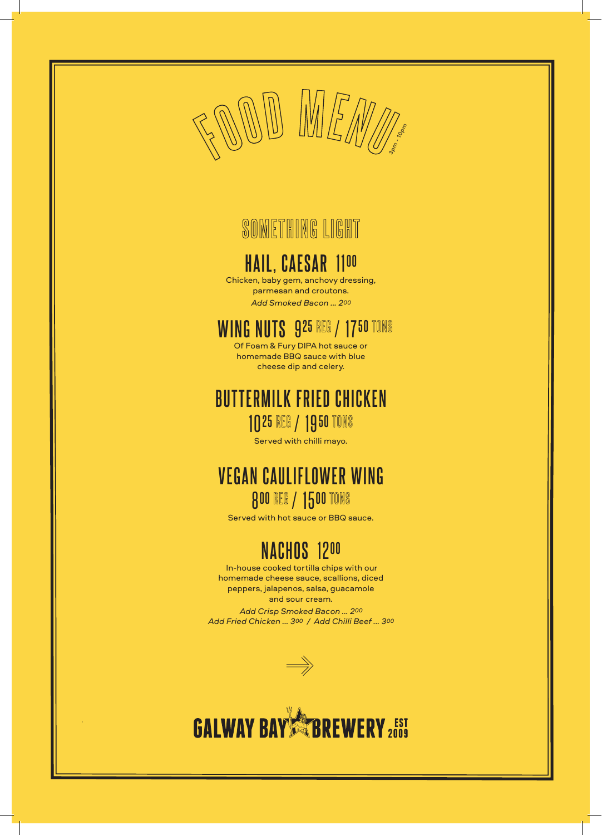

# **SOMETHING LIGHT**

# **HAIL, CAESAR** 11**<sup>00</sup>**

Chicken, baby gem, anchovy dressing, parmesan and croutons. *Add Smoked Bacon ... 200*

#### **WING NUTS** 9**25** REG / 17**50** TONS

Of Foam & Fury DIPA hot sauce or homemade BBQ sauce with blue cheese dip and celery.

#### **BUTTERMILK FRIED CHICKEN** 10**25** REG / 19**50** TONS

Served with chilli mayo.

#### **VEGAN CAULIFLOWER WING** 8**00** REG / 15**00** TONS

Served with hot sauce or BBQ sauce.

## **NACHOS** 12**<sup>00</sup>**

 In-house cooked tortilla chips with our homemade cheese sauce, scallions, diced peppers, jalapenos, salsa, guacamole and sour cream. *Add Crisp Smoked Bacon ... 200 Add Fried Chicken ... 300 / Add Chilli Beef ... 300*



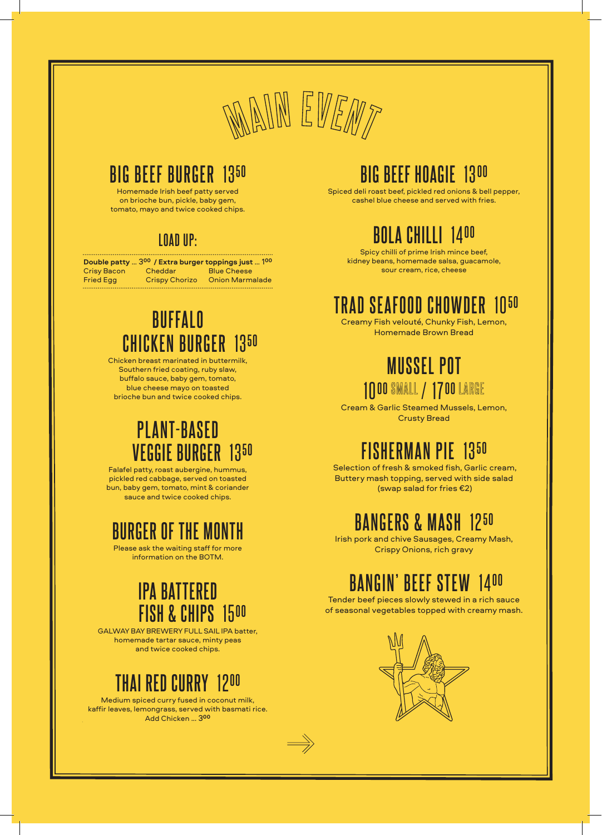

## **BIG BEEF BURGER** 13**<sup>50</sup>**

Homemade Irish beef patty served on brioche bun, pickle, baby gem, tomato, mayo and twice cooked chips.

#### **LOAD UP:**

| Double patty  300 / Extra burger toppings just  100 |                       |                        |
|-----------------------------------------------------|-----------------------|------------------------|
| <b>Crisy Bacon</b>                                  | Cheddar               | <b>Blue Cheese</b>     |
| <b>Fried Egg</b>                                    | <b>Crispy Chorizo</b> | <b>Onion Marmalade</b> |

## **BUFFALO CHICKEN BURGER** 13**<sup>50</sup>**

Chicken breast marinated in buttermilk, Southern fried coating, ruby slaw, buffalo sauce, baby gem, tomato, blue cheese mayo on toasted brioche bun and twice cooked chips.

# **PLANT-BASED VEGGIE BURGER** 13**<sup>50</sup>**

Falafel patty, roast aubergine, hummus, pickled red cabbage, served on toasted bun, baby gem, tomato, mint & coriander sauce and twice cooked chips.

#### **BURGER OF THE MONTH**

Please ask the waiting staff for more information on the BOTM.

#### **IPA BATTERED FISH & CHIPS** 15**<sup>00</sup>**

GALWAY BAY BREWERY FULL SAIL IPA batter, homemade tartar sauce, minty peas and twice cooked chips.

## **THAI RED CURRY** 12**<sup>00</sup>**

Medium spiced curry fused in coconut milk, kaffir leaves, lemongrass, served with basmati rice. Add Chicken ... 3**<sup>00</sup>**

## **BIG BEEF HOAGIE** 13**<sup>00</sup>**

Spiced deli roast beef, pickled red onions & bell pepper, cashel blue cheese and served with fries.

# **BOLA CHILLI** 14**<sup>00</sup>**

Spicy chilli of prime Irish mince beef, kidney beans, homemade salsa, guacamole, sour cream, rice, cheese

#### **TRAD SEAFOOD CHOWDER** 10**<sup>50</sup>**

Creamy Fish velouté, Chunky Fish, Lemon, Homemade Brown Bread

## **MUSSEL POT** 10**00** SMALL / 17**00** LARGE

Cream & Garlic Steamed Mussels, Lemon, Crusty Bread

# **FISHERMAN PIE** 13**<sup>50</sup>**

 Selection of fresh & smoked fish, Garlic cream, Buttery mash topping, served with side salad (swap salad for fries €2)

## **BANGERS & MASH** 12**<sup>50</sup>**

Irish pork and chive Sausages, Creamy Mash, Crispy Onions, rich gravy

## **BANGIN' BEEF STEW** 14**<sup>00</sup>**

Tender beef pieces slowly stewed in a rich sauce of seasonal vegetables topped with creamy mash.